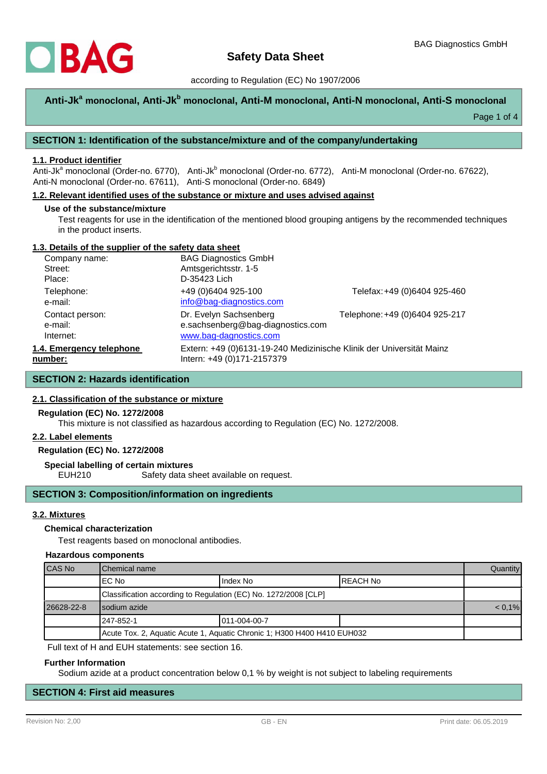

### according to Regulation (EC) No 1907/2006

# **Anti-Jk<sup>a</sup> monoclonal, Anti-Jk<sup>b</sup> monoclonal, Anti-M monoclonal, Anti-N monoclonal, Anti-S monoclonal**

Page 1 of 4

### **SECTION 1: Identification of the substance/mixture and of the company/undertaking**

# **1.1. Product identifier**

Anti-Jk<sup>a</sup> monoclonal (Order-no. 6770), Anti-Jk<sup>b</sup> monoclonal (Order-no. 6772), Anti-M monoclonal (Order-no. 67622), Anti-N monoclonal (Order-no. 67611), Anti-S monoclonal (Order-no. 6849)

### **1.2. Relevant identified uses of the substance or mixture and uses advised against**

#### **Use of the substance/mixture**

Test reagents for use in the identification of the mentioned blood grouping antigens by the recommended techniques in the product inserts.

### **1.3. Details of the supplier of the safety data sheet**

| Company name:            | <b>BAG Diagnostics GmbH</b>                                          |                                |
|--------------------------|----------------------------------------------------------------------|--------------------------------|
| Street:                  | Amtsgerichtsstr. 1-5                                                 |                                |
| Place:                   | D-35423 Lich                                                         |                                |
| Telephone:               | +49 (0)6404 925-100                                                  | Telefax: +49 (0)6404 925-460   |
| e-mail:                  | info@bag-diagnostics.com                                             |                                |
| Contact person:          | Dr. Evelyn Sachsenberg                                               | Telephone: +49 (0)6404 925-217 |
| e-mail:                  | e.sachsenberg@bag-diagnostics.com                                    |                                |
| Internet:                | www.bag-dagnostics.com                                               |                                |
| 1.4. Emergency telephone | Extern: +49 (0)6131-19-240 Medizinische Klinik der Universität Mainz |                                |
| number:                  | Intern: +49 (0)171-2157379                                           |                                |

# **SECTION 2: Hazards identification**

### **2.1. Classification of the substance or mixture**

#### **Regulation (EC) No. 1272/2008**

This mixture is not classified as hazardous according to Regulation (EC) No. 1272/2008.

#### **2.2. Label elements**

### **Regulation (EC) No. 1272/2008**

**Special labelling of certain mixtures**

EUH210 Safety data sheet available on request.

### **SECTION 3: Composition/information on ingredients**

#### **3.2. Mixtures**

#### **Chemical characterization**

Test reagents based on monoclonal antibodies.

#### **Hazardous components**

| CAS No     | <b>I</b> Chemical name                                                  |              |           | <b>Quantity</b> |
|------------|-------------------------------------------------------------------------|--------------|-----------|-----------------|
|            | IEC No                                                                  | Index No     | IREACH No |                 |
|            | Classification according to Regulation (EC) No. 1272/2008 [CLP]         |              |           |                 |
| 26628-22-8 | I sodium azide                                                          |              | $< 0.1\%$ |                 |
|            | l 247-852-1                                                             | 011-004-00-7 |           |                 |
|            | Acute Tox. 2, Aquatic Acute 1, Aquatic Chronic 1; H300 H400 H410 EUH032 |              |           |                 |

Full text of H and EUH statements: see section 16.

#### **Further Information**

Sodium azide at a product concentration below 0,1 % by weight is not subject to labeling requirements

# **SECTION 4: First aid measures**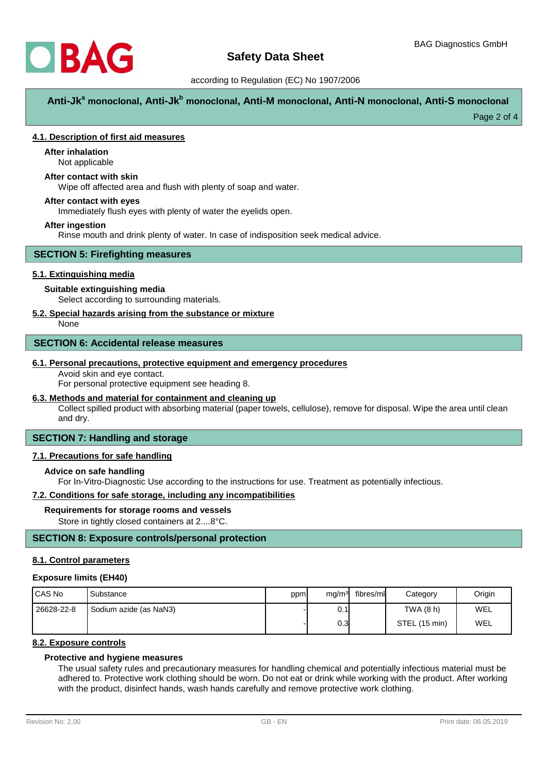

### according to Regulation (EC) No 1907/2006

**Anti-Jk<sup>a</sup> monoclonal, Anti-Jk<sup>b</sup> monoclonal, Anti-M monoclonal, Anti-N monoclonal, Anti-S monoclonal**

Page 2 of 4

### **4.1. Description of first aid measures**

# **After inhalation**

Not applicable

# **After contact with skin**

Wipe off affected area and flush with plenty of soap and water.

### **After contact with eyes**

Immediately flush eyes with plenty of water the eyelids open.

### **After ingestion**

Rinse mouth and drink plenty of water. In case of indisposition seek medical advice.

### **SECTION 5: Firefighting measures**

### **5.1. Extinguishing media**

### **Suitable extinguishing media**

Select according to surrounding materials.

### **5.2. Special hazards arising from the substance or mixture**

None

### **SECTION 6: Accidental release measures**

#### **6.1. Personal precautions, protective equipment and emergency procedures**

Avoid skin and eye contact.

For personal protective equipment see heading 8.

### **6.3. Methods and material for containment and cleaning up**

Collect spilled product with absorbing material (paper towels, cellulose), remove for disposal. Wipe the area until clean and dry.

# **SECTION 7: Handling and storage**

### **7.1. Precautions for safe handling**

### **Advice on safe handling**

For In-Vitro-Diagnostic Use according to the instructions for use. Treatment as potentially infectious.

### **7.2. Conditions for safe storage, including any incompatibilities**

#### **Requirements for storage rooms and vessels**

Store in tightly closed containers at 2....8°C.

# **SECTION 8: Exposure controls/personal protection**

#### **8.1. Control parameters**

#### **Exposure limits (EH40)**

| I CAS No   | Substance              | ppm | mg/m <sup>3</sup> | fibres/ml | Category      | Origin |
|------------|------------------------|-----|-------------------|-----------|---------------|--------|
| 26628-22-8 | Sodium azide (as NaN3) |     | 0.1               |           | TWA (8 h)     | WEL    |
|            |                        |     | 0.3 <sub>l</sub>  |           | STEL (15 min) | WEL    |

# **8.2. Exposure controls**

# **Protective and hygiene measures**

The usual safety rules and precautionary measures for handling chemical and potentially infectious material must be adhered to. Protective work clothing should be worn. Do not eat or drink while working with the product. After working with the product, disinfect hands, wash hands carefully and remove protective work clothing.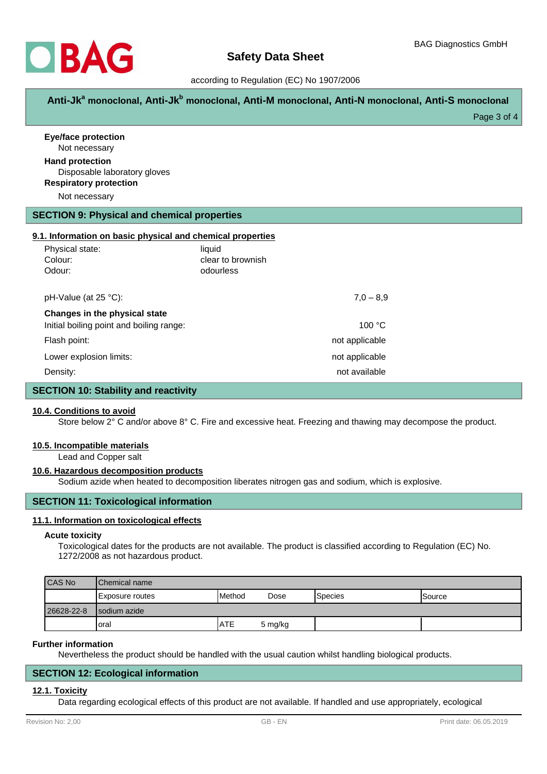

### according to Regulation (EC) No 1907/2006

**Anti-Jk<sup>a</sup> monoclonal, Anti-Jk<sup>b</sup> monoclonal, Anti-M monoclonal, Anti-N monoclonal, Anti-S monoclonal**

Page 3 of 4

| <b>Eye/face protection</b><br>Not necessary                                             |                   |               |  |
|-----------------------------------------------------------------------------------------|-------------------|---------------|--|
| <b>Hand protection</b><br>Disposable laboratory gloves<br><b>Respiratory protection</b> |                   |               |  |
| Not necessary                                                                           |                   |               |  |
| <b>SECTION 9: Physical and chemical properties</b>                                      |                   |               |  |
| 9.1. Information on basic physical and chemical properties                              |                   |               |  |
| Physical state:                                                                         | liquid            |               |  |
| Colour:                                                                                 | clear to brownish |               |  |
| Odour:                                                                                  | odourless         |               |  |
| pH-Value (at 25 °C):                                                                    |                   | $7,0 - 8,9$   |  |
| Changes in the physical state                                                           |                   |               |  |
| Initial boiling point and boiling range:                                                |                   | 100 °C        |  |
| Flash point:                                                                            | not applicable    |               |  |
| Lower explosion limits:                                                                 | not applicable    |               |  |
| Density:                                                                                |                   | not available |  |
| <b>SECTION 10: Stability and reactivity</b>                                             |                   |               |  |

### **10.4. Conditions to avoid**

Store below 2° C and/or above 8° C. Fire and excessive heat. Freezing and thawing may decompose the product.

#### **10.5. Incompatible materials**

Lead and Copper salt

#### **10.6. Hazardous decomposition products**

Sodium azide when heated to decomposition liberates nitrogen gas and sodium, which is explosive.

# **SECTION 11: Toxicological information**

### **11.1. Information on toxicological effects**

#### **Acute toxicity**

Toxicological dates for the products are not available. The product is classified according to Regulation (EC) No. 1272/2008 as not hazardous product.

| <b>CAS No</b> | <b>IChemical name</b> |                 |         |                 |         |
|---------------|-----------------------|-----------------|---------|-----------------|---------|
|               | IExposure routes      | <b>I</b> Method | Dose    | <b>S</b> pecies | ISource |
| 26628-22-8    | Isodium azide         |                 |         |                 |         |
|               | Ioral                 | <b>ATE</b>      | 5 mg/kg |                 |         |

#### **Further information**

Nevertheless the product should be handled with the usual caution whilst handling biological products.

#### **SECTION 12: Ecological information**

#### **12.1. Toxicity**

Data regarding ecological effects of this product are not available. If handled and use appropriately, ecological